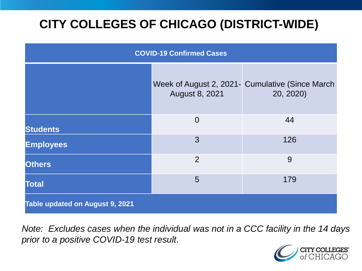# **CITY COLLEGES OF CHICAGO (DISTRICT-WIDE)**

| <b>COVID-19 Confirmed Cases</b> |                |                                                               |
|---------------------------------|----------------|---------------------------------------------------------------|
|                                 | August 8, 2021 | Week of August 2, 2021 - Cumulative (Since March<br>20, 2020) |
| <b>Students</b>                 | $\overline{0}$ | 44                                                            |
| <b>Employees</b>                | 3              | 126                                                           |
| <b>Others</b>                   | $\overline{2}$ | 9                                                             |
| <b>Total</b>                    | 5              | 179                                                           |
| Table updated on August 9, 2021 |                |                                                               |

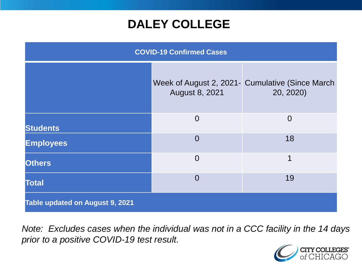### **DALEY COLLEGE**

| <b>COVID-19 Confirmed Cases</b> |                |                                                              |
|---------------------------------|----------------|--------------------------------------------------------------|
|                                 | August 8, 2021 | Week of August 2, 2021- Cumulative (Since March<br>20, 2020) |
| <b>Students</b>                 | $\Omega$       | $\overline{0}$                                               |
| <b>Employees</b>                | $\Omega$       | 18                                                           |
| <b>Others</b>                   | $\overline{0}$ | 1                                                            |
| <b>Total</b>                    | $\overline{0}$ | 19                                                           |
| Table updated on August 9, 2021 |                |                                                              |

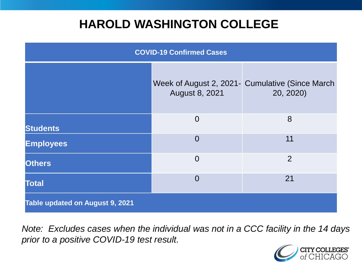### **HAROLD WASHINGTON COLLEGE**

| <b>COVID-19 Confirmed Cases</b> |                |                                                              |
|---------------------------------|----------------|--------------------------------------------------------------|
|                                 | August 8, 2021 | Week of August 2, 2021- Cumulative (Since March<br>20, 2020) |
| <b>Students</b>                 | $\overline{0}$ | 8                                                            |
| <b>Employees</b>                | $\Omega$       | 11                                                           |
| <b>Others</b>                   | $\overline{0}$ | $\overline{2}$                                               |
| <b>Total</b>                    | $\Omega$       | 21                                                           |
| Table updated on August 9, 2021 |                |                                                              |

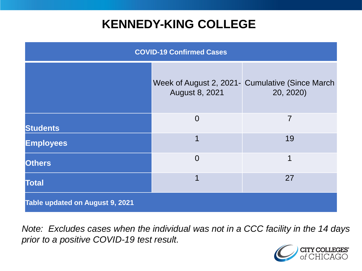## **KENNEDY-KING COLLEGE**

| <b>COVID-19 Confirmed Cases</b> |                |                                                                |
|---------------------------------|----------------|----------------------------------------------------------------|
|                                 | August 8, 2021 | Week of August 2, 2021 - Cumulative (Since March)<br>20, 2020) |
| <b>Students</b>                 | $\overline{0}$ | 7                                                              |
| <b>Employees</b>                | 1              | 19                                                             |
| <b>Others</b>                   | $\overline{0}$ | 1                                                              |
| <b>Total</b>                    | 1              | 27                                                             |
| Table updated on August 9, 2021 |                |                                                                |

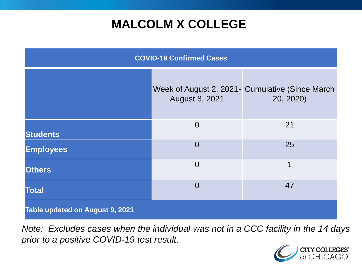## **MALCOLM X COLLEGE**

| <b>COVID-19 Confirmed Cases</b> |                |                                                              |
|---------------------------------|----------------|--------------------------------------------------------------|
|                                 | August 8, 2021 | Week of August 2, 2021- Cumulative (Since March<br>20, 2020) |
| <b>Students</b>                 | $\overline{0}$ | 21                                                           |
| <b>Employees</b>                | $\overline{0}$ | 25                                                           |
| <b>Others</b>                   | $\overline{0}$ | 1                                                            |
| <b>Total</b>                    | $\Omega$       | 47                                                           |
| Table updated on August 9, 2021 |                |                                                              |

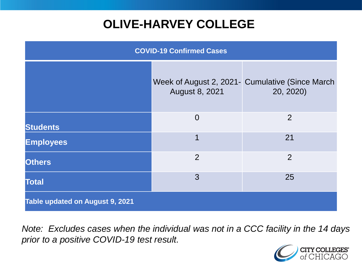# **OLIVE-HARVEY COLLEGE**

| <b>COVID-19 Confirmed Cases</b> |                |                                                              |
|---------------------------------|----------------|--------------------------------------------------------------|
|                                 | August 8, 2021 | Week of August 2, 2021- Cumulative (Since March<br>20, 2020) |
| <b>Students</b>                 | $\overline{0}$ | 2                                                            |
| <b>Employees</b>                | 1              | 21                                                           |
| <b>Others</b>                   | $\overline{2}$ | 2                                                            |
| <b>Total</b>                    | 3              | 25                                                           |
| Table updated on August 9, 2021 |                |                                                              |

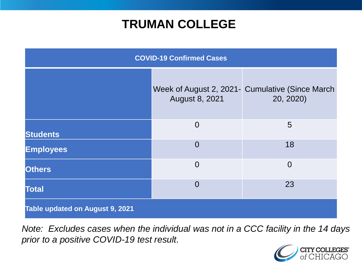### **TRUMAN COLLEGE**

| <b>COVID-19 Confirmed Cases</b> |                |                                                              |
|---------------------------------|----------------|--------------------------------------------------------------|
|                                 | August 8, 2021 | Week of August 2, 2021- Cumulative (Since March<br>20, 2020) |
| <b>Students</b>                 | $\overline{0}$ | 5                                                            |
| <b>Employees</b>                | $\overline{0}$ | 18                                                           |
| <b>Others</b>                   | $\overline{0}$ | $\overline{0}$                                               |
| <b>Total</b>                    | $\overline{0}$ | 23                                                           |
| Table updated on August 9, 2021 |                |                                                              |

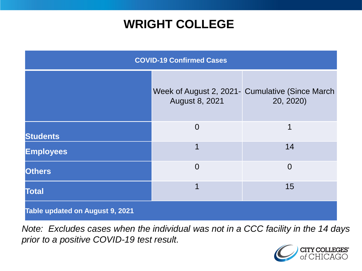### **WRIGHT COLLEGE**

| <b>COVID-19 Confirmed Cases</b> |                |                                                              |
|---------------------------------|----------------|--------------------------------------------------------------|
|                                 | August 8, 2021 | Week of August 2, 2021- Cumulative (Since March<br>20, 2020) |
| <b>Students</b>                 | $\overline{0}$ | 1                                                            |
| <b>Employees</b>                | 1              | 14                                                           |
| <b>Others</b>                   | $\overline{0}$ | $\overline{0}$                                               |
| <b>Total</b>                    | 1              | 15                                                           |
| Table updated on August 9, 2021 |                |                                                              |